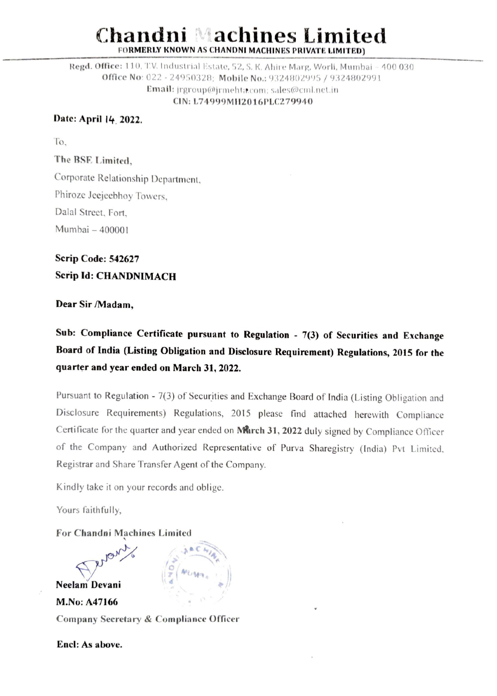# Chandni Machines Limited FORMERLY KNOWN AS CHANDNI MACHINES PRIVATE LIMITED) **achines Lim**

Regd. Office: 110, T.V. Industrial Estate, 52, S. K. Ahire Marg, Worli, Mumbai - 400 030 Office No: 022 - 24950328: Mobile No. 9324802995 {9324802991 Email: jrgroup@jrmehta.com; sales@cml.net.in CIN: L74999MI12016PLC279940

### Date: April 14 2022.

The BSE Limited,

To,

Corporate Relationship Department. Phiroze Jeejeebhoy Towers, Dalal Street, Fort, Mumbai — 400001

# Scrip Code: 542627 Scrip Id: CHANDNIMACH

### Dear Sir /Madam,

Sub: Compliance Certificate pursuant to Regulation - 7(3) of Securities and Exchange Board of India (Listing Obligation and Disclosure Requirement) Regulations, 2015 for the quarter and year ended on March 31, 2022.

Pursuant to Regulation - 7(3) of Securities and Exchange Board of India (Listing Obligation and Disclosure Requirements) Regulations, 2015 please find attached herewith Compliance Certificate for the quarter and year ended on March 31, 2022 duly signed by Compliance Officer of the Company and Authorized Representative of Purva Sharegistry (India) Pvt Limited, Registrar and Share Transfer Agent of the Company.

Kindly take it on your records and oblige.

Yours faithfully,

### For Chandni Machines Limited



Encl: As above.